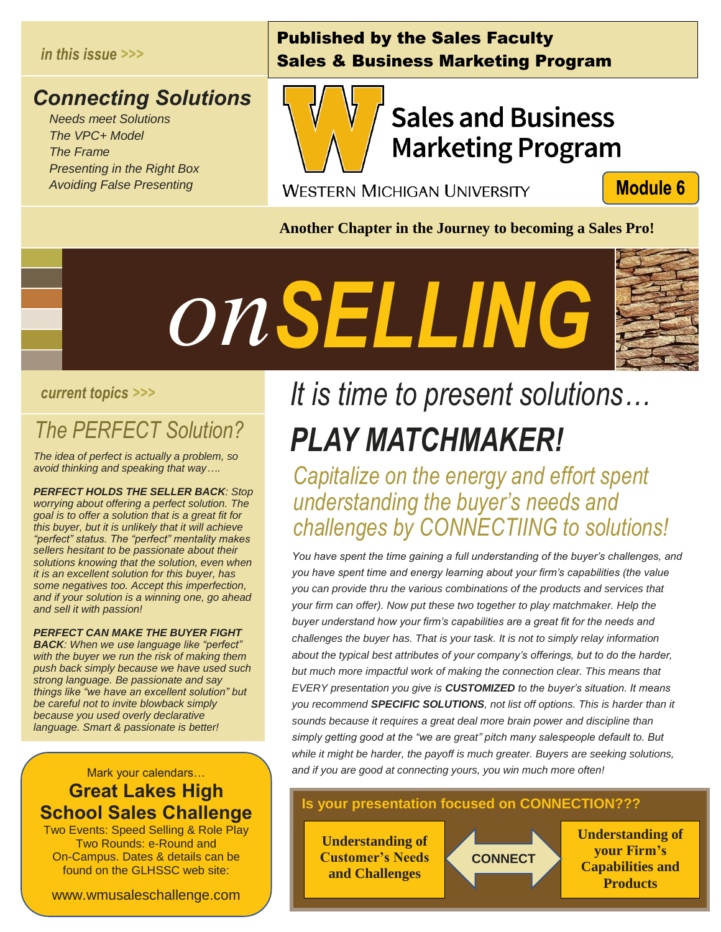#### *in this issue >>>*

#### *Connecting Solutions*

 *Needs meet Solutions The VPC+ Model The Frame Presenting in the Right Box Avoiding False Presenting*

#### Published by the Sales Faculty Sales & Business Marketing Program



## **Sales and Business Marketing Program**

**WESTERN MICHIGAN UNIVERSITY** 

**Module 6** 

**Another Chapter in the Journey to becoming a Sales Pro!**



#### *current topics >>>*

## *The PERFECT Solution? Solution?*<br>*Solution?*<br>*that way....*

*The idea of perfect is actually a problem, so avoid thinking and speaking that way….*

*PERFECT HOLDS THE SELLER BACK: Stop worrying about offering a perfect solution. The goal is to offer a solution that is a great fit for this buyer, but it is unlikely that it will achieve "perfect" status. The "perfect" mentality makes sellers hesitant to be passionate about their solutions knowing that the solution, even when it is an excellent solution for this buyer, has some negatives too. Accept this imperfection, and if your solution is a winning one, go ahead and sell it with passion!*

#### *PERFECT CAN MAKE THE BUYER FIGHT*

*BACK: When we use language like "perfect" with the buyer we run the risk of making them push back simply because we have used such strong language. Be passionate and say things like "we have an excellent solution" but be careful not to invite blowback simply because you used overly declarative language. Smart & passionate is better!*

#### Mark your calendars… **Great Lakes High School Sales Challenge**

Two Events: Speed Selling & Role Play Two Rounds: e-Round and On-Campus. Dates & details can be found on the GLHSSC web site:

www.wmusaleschallenge.com

## *It is time to present solutions… PLAY MATCHMAKER!*

*Capitalize on the energy and effort spent understanding the buyer's needs and challenges by CONNECTIING to solutions!*

*You have spent the time gaining a full understanding of the buyer's challenges, and you have spent time and energy learning about your firm's capabilities (the value you can provide thru the various combinations of the products and services that your firm can offer). Now put these two together to play matchmaker. Help the buyer understand how your firm's capabilities are a great fit for the needs and challenges the buyer has. That is your task. It is not to simply relay information about the typical best attributes of your company's offerings, but to do the harder, but much more impactful work of making the connection clear. This means that EVERY presentation you give is CUSTOMIZED to the buyer's situation. It means you recommend SPECIFIC SOLUTIONS, not list off options. This is harder than it sounds because it requires a great deal more brain power and discipline than simply getting good at the "we are great" pitch many salespeople default to. But while it might be harder, the payoff is much greater. Buyers are seeking solutions, and if you are good at connecting yours, you win much more often!*

#### **Is your presentation focused on CONNECTION???**

i<br>I

**Understanding of Customer's Needs and Challenges**

**CONNECT**

**Understanding of your Firm's Capabilities and Products**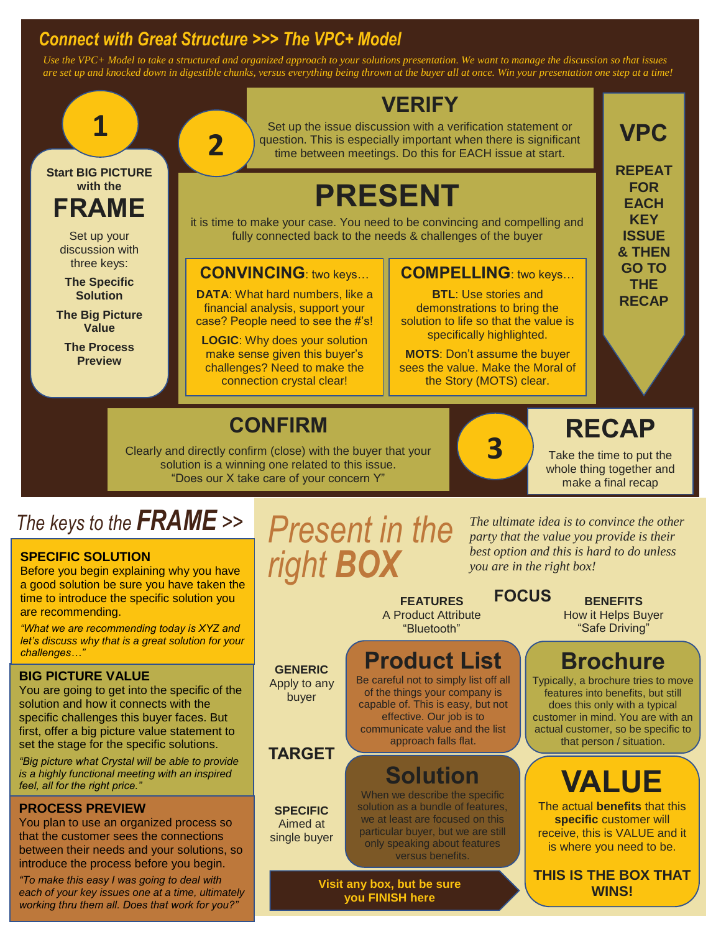#### *Connect with Great Structure >>> The VPC+ Model*

**2**

*Use the VPC+ Model to take a structured and organized approach to your solutions presentation. We want to manage the discussion so that issues are set up and knocked down in digestible chunks, versus everything being thrown at the buyer all at once. Win your presentation one step at a time!*

# **1**

**Start BIG PICTURE with the FRAME**

> Set up your discussion with three keys:

**The Specific Solution**

**The Big Picture Value** 

**The Process Preview**

#### **VERIFY**

Set up the issue discussion with a verification statement or question. This is especially important when there is significant time between meetings. Do this for EACH issue at start.

## **PRESENT**

it is time to make your case. You need to be convincing and compelling and fully connected back to the needs & challenges of the buyer

#### **CONVINCING**: two keys…

**DATA**: What hard numbers, like a financial analysis, support your case? People need to see the #'s!

**LOGIC**: Why does your solution make sense given this buyer's challenges? Need to make the connection crystal clear!

#### **COMPELLING**: two keys…

**BTL**: Use stories and demonstrations to bring the solution to life so that the value is specifically highlighted.

**MOTS**: Don't assume the buyer sees the value. Make the Moral of the Story (MOTS) clear.

**3**

### **VPC REPEAT**

**FOR EACH KEY ISSUE & THEN GO TO THE RECAP**

## **CONFIRM**

Clearly and directly confirm (close) with the buyer that your solution is a winning one related to this issue. "Does our X take care of your concern Y"

> **GENERIC** Apply to any buyer

> **TARGET**

**SPECIFIC** Aimed at single buyer

## *The keys to the FRAME >> Present in the*

#### **SPECIFIC SOLUTION**

Before you begin explaining why you have a good solution be sure you have taken the time to introduce the specific solution you are recommending.

*"What we are recommending today is XYZ and let's discuss why that is a great solution for your challenges…"*

#### **BIG PICTURE VALUE**

You are going to get into the specific of the solution and how it connects with the specific challenges this buyer faces. But first, offer a big picture value statement to set the stage for the specific solutions.

*"Big picture what Crystal will be able to provide is a highly functional meeting with an inspired feel, all for the right price."*

#### **PROCESS PREVIEW**

You plan to use an organized process so that the customer sees the connections between their needs and your solutions, so introduce the process before you begin.

*"To make this easy I was going to deal with each of your key issues one at a time, ultimately working thru them all. Does that work for you?"*

# *right BOX*

*The ultimate idea is to convince the other party that the value you provide is their best option and this is hard to do unless you are in the right box!*

**FEATURES** A Product Attribute "Bluetooth"

#### **Product List**

Be careful not to simply list off all of the things your company is capable of. This is easy, but not effective. Our job is to communicate value and the list approach falls flat.

## **Solution**

When we describe the specific solution as a bundle of features, we at least are focused on this particular buyer, but we are still only speaking about features versus benefits.

**Visit any box, but be sure you FINISH here**

**FOCUS BENEFITS** How it Helps Buyer

"Safe Driving"

**RECAP**

Take the time to put the whole thing together and make a final recap

#### **Brochure**

Typically, a brochure tries to move features into benefits, but still does this only with a typical customer in mind. You are with an actual customer, so be specific to that person / situation.

## **VALUE**

The actual **benefits** that this **specific** customer will receive, this is VALUE and it is where you need to be.

**THIS IS THE BOX THAT WINS!**